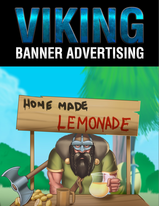

## **BANNER ADVERTISING**

# HOME MADE LEMONADE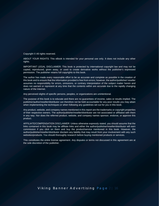Copyright © All rights reserved.

ABOUT YOUR RIGHTS: This eBook is intended for your personal use only. It does not include any other rights.

IMPORTANT LEGAL DISCLAIMER: This book is protected by international copyright law and may not be copied, reproduced, given away, or used to create derivative works without the publisher's expressed permission. The publisher retains full copyrights to this book.

The author has made every reasonable effort to be as accurate and complete as possible in the creation of this book and to ensure that the information provided is free from errors; however, the author/publisher/ reseller assumes no responsibility for errors, omissions, or contrary interpretation of the subject matter herein and does not warrant or represent at any time that the contents within are accurate due to the rapidly changing nature of the Internet.

Any perceived slights of specific persons, peoples, or organizations are unintentional.

The purpose of this book is to educate and there are no guarantees of income, sales or results implied. The publisher/author/reseller/distributor can therefore not be held accountable for any poor results you may attain when implementing the techniques or when following any guidelines set out for you in this book.

Any product, website, and company names mentioned in this report are the trademarks or copyright properties of their respective owners. The author/publisher/reseller/distributor are not associated or affiliated with them in any way. Nor does the referred product, website, and company names sponsor, endorse, or approve this product.

AFFILIATE/COMPENSATION DISCLAIMER: Unless otherwise expressly stated, you should assume that the links contained in this book may be affiliate links and either the author/publisher/reseller/distributor will earn commission if you click on them and buy the product/service mentioned in this book. However, the author/publisher/reseller/distributor disclaim any liability that may result from your involvement with any such websites/products. You should thoroughly research before buying mentioned products or services.

This constitutes the entire license agreement. Any disputes or terms not discussed in this agreement are at the sole discretion of the publisher.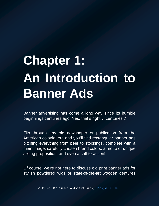### **Chapter 1: An Introduction to Banner Ads**

Banner advertising has come a long way since its humble beginnings centuries ago. Yes, that's right… centuries ;)

Flip through any old newspaper or publication from the American colonial era and you'll find rectangular banner ads pitching everything from beer to stockings, complete with a main image, carefully chosen brand colors, a motto or unique selling proposition, and even a call-to-action!

Of course, we're not here to discuss old print banner ads for stylish powdered wigs or state-of-the-art wooden dentures

Viking Banner Advertising Page 3 | 16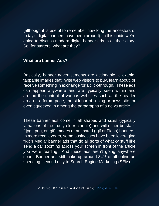(although it is useful to remember how long the ancestors of today's digital banners have been around). In this guide we're going to discuss modern digital banner ads in all their glory. So, for starters, what are they?

#### **What are banner Ads?**

Basically, banner advertisements are actionable, clickable, tappable images that invite web visitors to buy, learn about, or receive something in exchange for a click-through. These ads can appear anywhere and are typically seen within and around the content of various websites such as the header area on a forum page, the sidebar of a blog or news site, or even squeezed in among the paragraphs of a news article.

These banner ads come in all shapes and sizes (typically variations of the trusty old rectangle) and will either be static (.jpg, .png, or .gif) images or animated (.gif or Flash) banners. In more recent years, some businesses have been leveraging "Rich Media" banner ads that do all sorts of whacky stuff like send a car zooming across your screen in front of the article you were reading. And these ads aren't going anywhere soon. Banner ads still make up around 34% of all online ad spending, second only to Search Engine Marketing (SEM).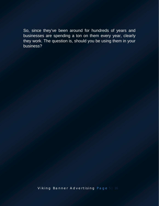So, since they've been around for hundreds of years and businesses are spending a ton on them every year, clearly they work. The question is, should you be using them in your business?

Viking Banner Advertising Page 5 | 16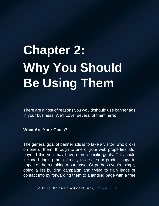## **Chapter 2: Why You Should Be Using Them**

There are a host of reasons you would/should use banner ads in your business. We'll cover several of them here:

**What Are Your Goals?**

The general goal of banner ads is to take a visitor, who clicks on one of them, through to one of your web properties. But beyond this you may have more specific goals. This could include bringing them directly to a sales or product page in hopes of them making a purchase. Or perhaps you're simply doing a list building campaign and trying to gain leads or contact info by forwarding them to a landing page with a free

Viking Banner Advertising Page 6 | 16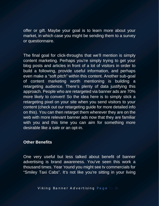offer or gift. Maybe your goal is to learn more about your market, in which case you might be sending them to a survey or questionnaire.

The final goal for click-throughs that we'll mention is simply content marketing. Perhaps you're simply trying to get your blog posts and articles in front of a lot of visitors in order to build a following, provide useful information, and perhaps even make a "soft pitch" within this content. Another sub-goal of content marketing worth mentioning is building a retargeting audience. There's plenty of data justifying this approach. People who are retargeted via banner ads are 70% more likely to convert! So the idea here is to simply stick a retargeting pixel on your site when you send visitors to your content (check out our retargeting guide for more detailed info on this). You can then retarget them wherever they are on the web with more relevant banner ads now that they are familiar with you and this time you can aim for something more desirable like a sale or an opt-in.

#### **Other Benefits**

One very useful but less talked about benefit of banner advertising is brand awareness. You've seen this work a thousand times. Year 'round you might see tv commercials for "Smiley Taxi Cabs". It's not like you're sitting in your living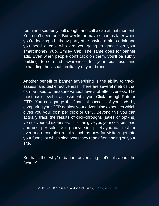room and suddenly bolt upright and call a cab at that moment. You don't need one. But weeks or maybe months later when you're leaving a birthday party after having a bit to drink and you need a cab, who are you going to google on your smartphone? Yup. Smiley Cab. The same goes for banner ads. Even when people don't click on them, you'll be subtly building top-of-mind awareness for your business and expanding the visual familiarity of your brand.

Another benefit of banner advertising is the ability to track, assess, and test effectiveness. There are several metrics that can be used to measure various levels of effectiveness. The most basic level of assessment is your Click-through Rate or CTR. You can gauge the financial success of your ads by comparing your CTR against your advertising expenses which gives you your cost per click or CPC. Beyond this you can actually track the results of click-throughs (sales or opt-ins) versus your ad expenses. This can give you your cost per lead and cost per sale. Using conversion pixels you can test for even more complex results such as how far visitors get into your funnel or which blog posts they read after landing on your site.

So that's the "why" of banner advertising. Let's talk about the "where"...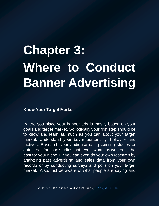### **Chapter 3: Where to Conduct Banner Advertising**

#### **Know Your Target Market**

Where you place your banner ads is mostly based on your goals and target market. So logically your first step should be to know and learn as much as you can about your target market. Understand your buyer personality, behavior and motives. Research your audience using existing studies or data. Look for case studies that reveal what has worked in the past for your niche. Or you can even do your own research by analyzing past advertising and sales data from your own records or by conducting surveys and polls on your target market. Also, just be aware of what people are saying and

Viking Banner Advertising Page 9 | 16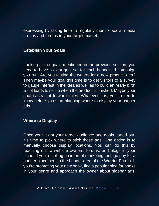expressing by taking time to regularly monitor social media groups and forums in your target market.

#### **Establish Your Goals**

Looking at the goals mentioned in the previous section, you need to have a clear goal set for each banner ad campaign you run. Are you testing the waters for a new product idea? Then maybe your goal this time is to get visitors to a survey to gauge interest in the idea as well as to build an "early bird" list of leads to sell to when the product is finished. Maybe your goal is straight forward sales. Whatever it is, you'll need to know before you start planning where to display your banner ads.

#### **Where to Display**

Once you've got your target audience and goals sorted out, it's time to pick where to stick those ads. One option is to manually choose display locations. You can do this by reaching out to website owners, forums, and blogs in your niche. If you're selling an internet marketing tool, go pay for a banner placement in the header area of the Warrior Forum. If you're promoting your new book, find a popular blog for books in your genre and approach the owner about sidebar ads.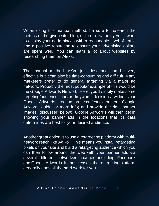When using this manual method, be sure to research the metrics of the given site, blog, or forum. Naturally you'll want to display your ad in places with a reasonable level of traffic and a positive reputation to ensure your advertising dollars are spent well. You can learn a lot about websites by researching them on Alexa.

The manual method we've just described can be very effective but it can also be time-consuming and difficult. Many marketers prefer to do general targeting via a major ad network. Probably the most popular example of this would be the Google Adwords Network. Here, you'll simply make some targeting/audience and/or keyword decisions within your Google Adwords creation process (check out our Google Adwords guide for more info) and provide the right banner images (discussed below). Google Adwords will then begin showing your banner ads in the locations that it's data determines are best for your desired audience.

Another great option is to use a retargeting platform with multinetwork reach like AdRoll. This means you install retargeting pixels on your site and build a retargeting audience which you can then follow around the web with your banner ads via several different networks/exchanges including Facebook and Google Adwords. In these cases, the retargeting platform generally does all the hard work for you.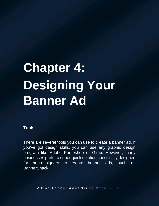### **Chapter 4: Designing Your Banner Ad**

#### **Tools**

There are several tools you can use to create a banner ad. If you've got design skills, you can use any graphic design program like Adobe Photoshop or Gimp. However, many businesses prefer a super quick solution specifically designed for non-designers to create banner ads, such as BannerSnack.

Viking Banner Advertising Page 12 | 16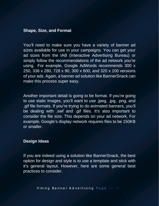#### **Shape, Size, and Format**

You'll need to make sure you have a variety of banner ad sizes available for use in your campaigns. You can get your ad sizes from the IAB (Interactive Advertising Bureau) or simply follow the recommendations of the ad network you're using. For example, Google AdWords recommends 300 x 250, 336 x 280, 728 x 90, 300 x 600, and 320 x 100 versions of your ads. Again, a banner ad solution like BannerSnack can make this process super easy.

Another important detail is going to be format. If you're going to use static images, you'll want to use .jpeg, .jpg, .png, and .gif file formats. If you're trying to do animated banners, you'll be dealing with .swf and .gif files. It's also important to consider the file size. This depends on your ad network. For example, Google's display network requires files to be 150KB or smaller.

#### **Design Ideas**

If you are indeed using a solution like BannerSnack, the best option for design and style is to use a template and stick with it's general layout. However, here are some general best practices to consider.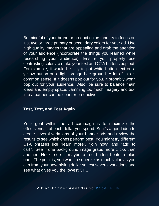Be mindful of your brand or product colors and try to focus on just two or three primary or secondary colors for your ad. Use high quality images that are appealing and grab the attention of your audience (incorporate the things you learned while researching your audience). Ensure you properly use contrasting colors to make your text and CTA buttons pop out. For example, it would be silly to put white button text on a yellow button on a light orange background. A lot of this is common sense. If it doesn't pop out for you, it probably won't pop out for your audience. Also, be sure to balance main ideas and empty space. Jamming too much imagery and text into a banner can be counter productive.

#### **Test, Test, and Test Again**

Your goal within the ad campaign is to maximize the effectiveness of each dollar you spend. So it's a good idea to create several variations of your banner ads and review the results to see which ones perform best. You might try different CTA phrases like "learn more", "join now" and "add to cart". See if one background image grabs more clicks than another. Heck, see if maybe a red button beats a blue one. The point is, you want to squeeze as much value as you can from your advertising dollar so test several variations and see what gives you the lowest CPC.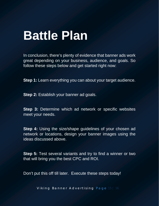### **Battle Plan**

In conclusion, there's plenty of evidence that banner ads work great depending on your business, audience, and goals. So follow these steps below and get started right now:

**Step 1:** Learn everything you can about your target audience.

**Step 2:** Establish your banner ad goals.

**Step 3:** Determine which ad network or specific websites meet your needs.

**Step 4:** Using the size/shape guidelines of your chosen ad network or locations, design your banner images using the ideas discussed above.

**Step 5:** Test several variants and try to find a winner or two that will bring you the best CPC and ROI.

Don't put this off till later. Execute these steps today!

Viking Banner Advertising Page 15 | 16